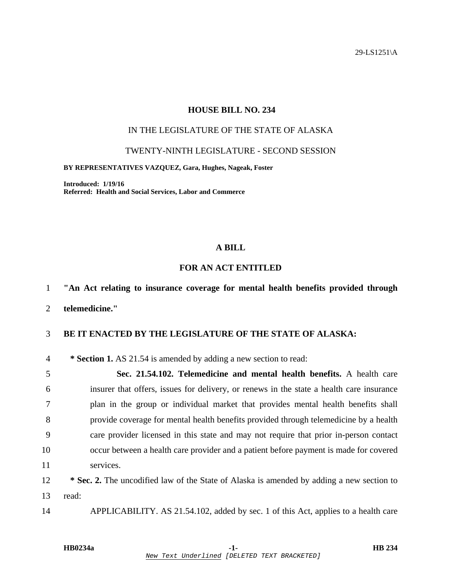29-LS1251\A

### **HOUSE BILL NO. 234**

### IN THE LEGISLATURE OF THE STATE OF ALASKA

#### TWENTY-NINTH LEGISLATURE - SECOND SESSION

#### **BY REPRESENTATIVES VAZQUEZ, Gara, Hughes, Nageak, Foster**

**Introduced: 1/19/16 Referred: Health and Social Services, Labor and Commerce** 

### **A BILL**

## **FOR AN ACT ENTITLED**

# 1 **"An Act relating to insurance coverage for mental health benefits provided through**

2 **telemedicine."** 

### 3 **BE IT ENACTED BY THE LEGISLATURE OF THE STATE OF ALASKA:**

4 **\* Section 1.** AS 21.54 is amended by adding a new section to read:

5 **Sec. 21.54.102. Telemedicine and mental health benefits.** A health care 6 insurer that offers, issues for delivery, or renews in the state a health care insurance 7 plan in the group or individual market that provides mental health benefits shall 8 provide coverage for mental health benefits provided through telemedicine by a health 9 care provider licensed in this state and may not require that prior in-person contact 10 occur between a health care provider and a patient before payment is made for covered 11 services.

<sup>2</sup> **\* Sec. 2.** The uncodified law of the State of Alaska is amended by adding a new section to 13 read:

14 APPLICABILITY. AS 21.54.102, added by sec. 1 of this Act, applies to a health care